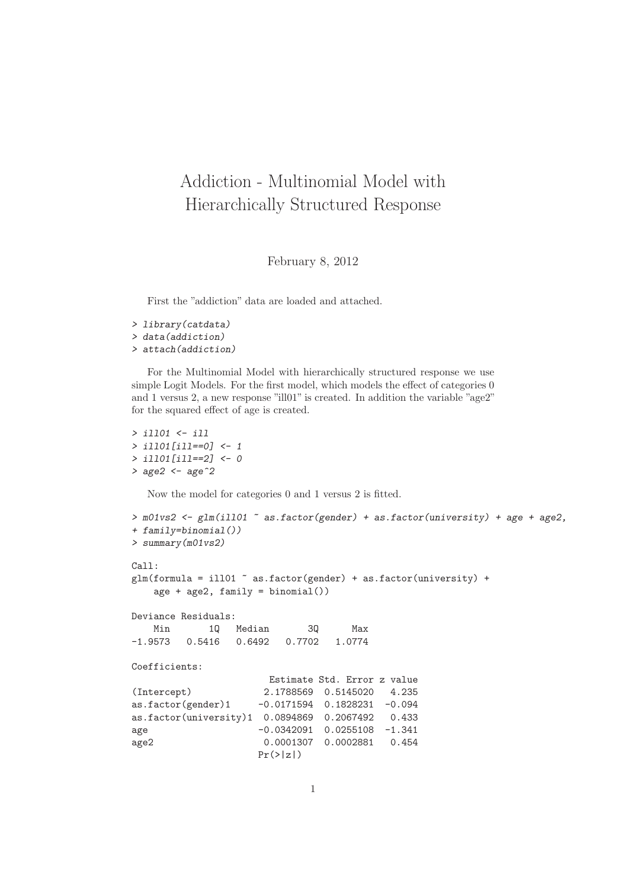## Addiction - Multinomial Model with Hierarchically Structured Response

February 8, 2012

First the "addiction" data are loaded and attached.

```
> library(catdata)
> data(addiction)
> attach(addiction)
```
For the Multinomial Model with hierarchically structured response we use simple Logit Models. For the first model, which models the effect of categories 0 and 1 versus 2, a new response "ill01" is created. In addition the variable "age2" for the squared effect of age is created.

```
> ill01 <- ill
> ill01[ill==0] <- 1
> ill01[ill==2] <- 0
> age2 <- age<sup>2</sup>2
  Now the model for categories 0 and 1 versus 2 is fitted.
> m01vs2 <- glm(ill01 \degree as.factor(gender) + as.factor(university) + age + age2,
+ family=binomial())
> summary(m01vs2)
Call:
glm(formula = i1101 \tilde{ } as.factor(gender) + as.factor(university) +
   age + age2, family = binomial())
Deviance Residuals:
   Min 1Q Median 3Q Max
-1.9573 0.5416 0.6492 0.7702 1.0774
Coefficients:
                       Estimate Std. Error z value
(Intercept) 2.1788569 0.5145020 4.235
as.factor(gender)1 -0.0171594 0.1828231 -0.094
as.factor(university)1 0.0894869 0.2067492 0.433
age -0.0342091 0.0255108 -1.341
age2 0.0001307 0.0002881 0.454
                     Pr(>|z|)
```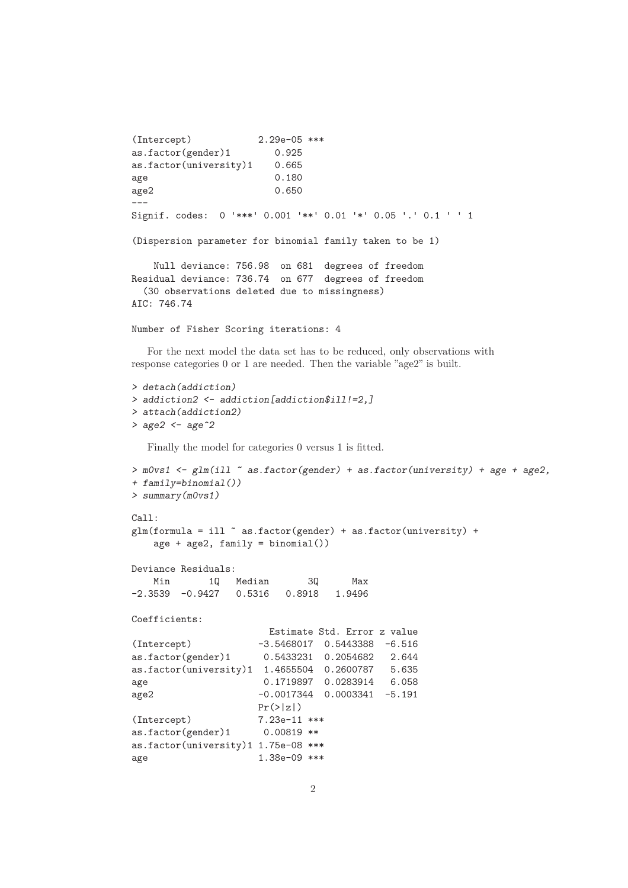```
(Intercept) 2.29e-05 ***
as.factor(gender)1 0.925
as.factor(university)1 0.665
age 0.180
age2 0.650
---
Signif. codes: 0 '***' 0.001 '**' 0.01 '*' 0.05 '.' 0.1 ' ' 1
(Dispersion parameter for binomial family taken to be 1)
   Null deviance: 756.98 on 681 degrees of freedom
Residual deviance: 736.74 on 677 degrees of freedom
 (30 observations deleted due to missingness)
AIC: 746.74
Number of Fisher Scoring iterations: 4
```
For the next model the data set has to be reduced, only observations with response categories 0 or 1 are needed. Then the variable "age2" is built.

```
> detach(addiction)
> addiction2 <- addiction[addiction$ill!=2,]
> attach(addiction2)
> age2 <- age<sup>2</sup>2
```
Finally the model for categories 0 versus 1 is fitted.

```
> m0vs1 <- glm(ill ~ as.factor(gender) + as.factor(university) + age + age2,
+ family=binomial())
> summary(m0vs1)
C_{2}11 \cdotglm(formula = 111 \tilde{ }</math> as.factor(gender) + as.factor(university) +age + age2, family = binomial())
Deviance Residuals:
   Min 1Q Median 3Q Max
-2.3539 -0.9427 0.5316 0.8918 1.9496
Coefficients:
                     Estimate Std. Error z value
(Intercept) -3.5468017 0.5443388 -6.516
as.factor(gender)1 0.5433231 0.2054682 2.644
as.factor(university)1 1.4655504 0.2600787 5.635
age 0.1719897 0.0283914 6.058
age2 -0.0017344 0.0003341 -5.191
                   Pr(>|z|)(Intercept) 7.23e-11 ***
as.factor(gender)1 0.00819 **
as.factor(university)1 1.75e-08 ***
age 1.38e-09 ***
```